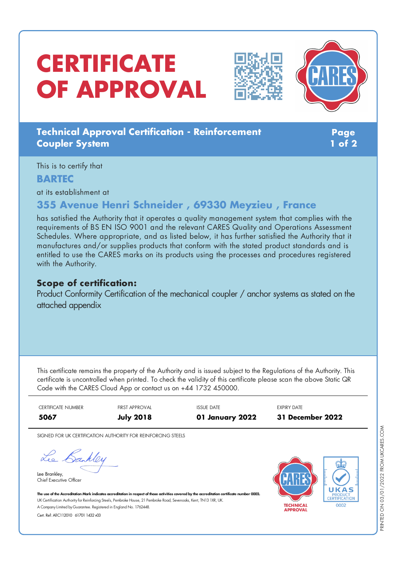# **CERTIFICATE OF APPROVAL**





## **Technical Approval Certification - Reinforcement Coupler System**

**Page 1 of 2**

This is to certify that

## **BARTEC**

at its establishment at

# **355 Avenue Henri Schneider , 69330 Meyzieu , France**

has satisfied the Authority that it operates a quality management system that complies with the requirements of BS EN ISO 9001 and the relevant CARES Quality and Operations Assessment Schedules. Where appropriate, and as listed below, it has further satisfied the Authority that it manufactures and/or supplies products that conform with the stated product standards and is entitled to use the CARES marks on its products using the processes and procedures registered with the Authority.

## **Scope of certification:**

Product Conformity Certification of the mechanical coupler / anchor systems as stated on the attached appendix

This certificate remains the property of the Authority and is issued subject to the Regulations of the Authority. This certificate is uncontrolled when printed. To check the validity of this certificate please scan the above Static QR Code with the CARES Cloud App or contact us on +44 1732 450000.